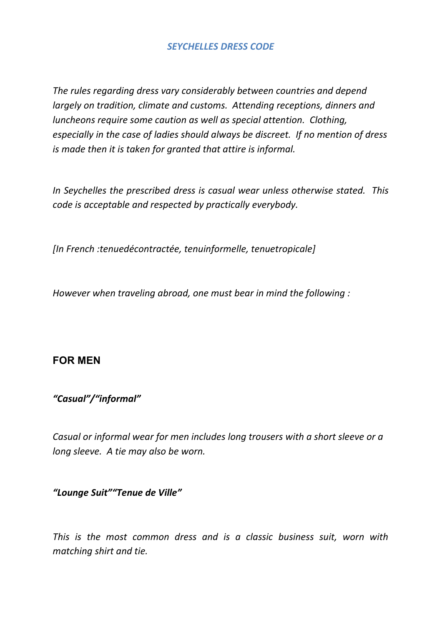#### *SEYCHELLES DRESS CODE*

*The rules regarding dress vary considerably between countries and depend largely on tradition, climate and customs. Attending receptions, dinners and luncheons require some caution as well as special attention. Clothing, especially in the case of ladies should always be discreet. If no mention of dress is made then it is taken for granted that attire is informal.*

*In Seychelles the prescribed dress is casual wear unless otherwise stated. This code is acceptable and respected by practically everybody.*

*[In French :tenuedécontractée, tenuinformelle, tenuetropicale]*

*However when traveling abroad, one must bear in mind the following :*

### **FOR MEN**

### *"Casual"/"informal"*

*Casual or informal wear for men includes long trousers with a short sleeve or a long sleeve. A tie may also be worn.*

*"Lounge Suit""Tenue de Ville"*

*This is the most common dress and is a classic business suit, worn with matching shirt and tie.*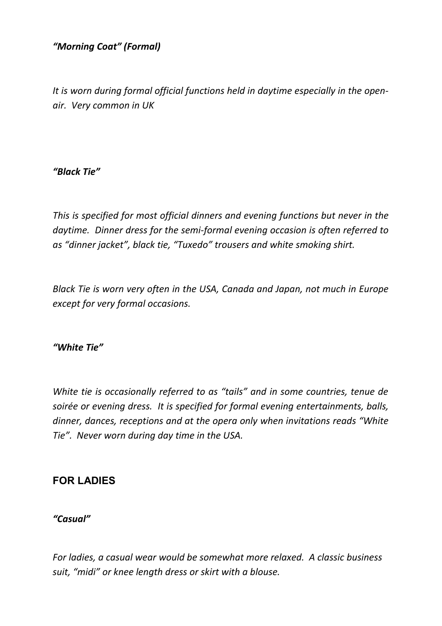# *"Morning Coat" (Formal)*

*It is worn during formal official functions held in daytime especially in the openair. Very common in UK*

*"Black Tie"*

*This is specified for most official dinners and evening functions but never in the daytime. Dinner dress for the semi-formal evening occasion is often referred to as "dinner jacket", black tie, "Tuxedo" trousers and white smoking shirt.*

*Black Tie is worn very often in the USA, Canada and Japan, not much in Europe except for very formal occasions.*

### *"White Tie"*

*White tie is occasionally referred to as "tails" and in some countries, tenue de soirée or evening dress. It is specified for formal evening entertainments, balls, dinner, dances, receptions and at the opera only when invitations reads "White Tie". Never worn during day time in the USA.*

# **FOR LADIES**

*"Casual"*

*For ladies, a casual wear would be somewhat more relaxed. A classic business suit, "midi" or knee length dress or skirt with a blouse.*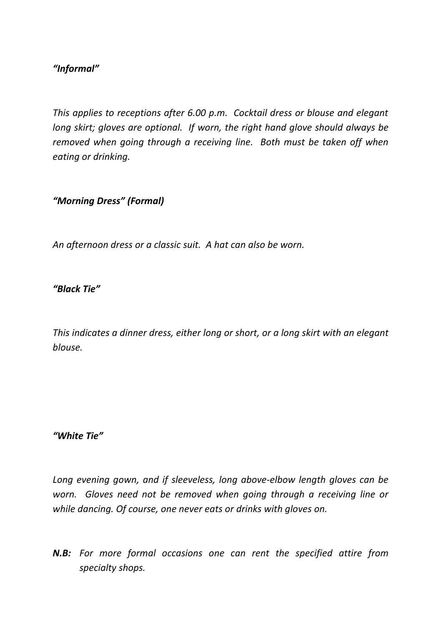### *"Informal"*

*This applies to receptions after 6.00 p.m. Cocktail dress or blouse and elegant long skirt; gloves are optional. If worn, the right hand glove should always be removed when going through a receiving line. Both must be taken off when eating or drinking.*

*"Morning Dress" (Formal)*

*An afternoon dress or a classic suit. A hat can also be worn.*

*"Black Tie"*

*This indicates a dinner dress, either long or short, or a long skirt with an elegant blouse.*

*"White Tie"*

*Long evening gown, and if sleeveless, long above-elbow length gloves can be worn. Gloves need not be removed when going through a receiving line or while dancing. Of course, one never eats or drinks with gloves on.*

*N.B: For more formal occasions one can rent the specified attire from specialty shops.*